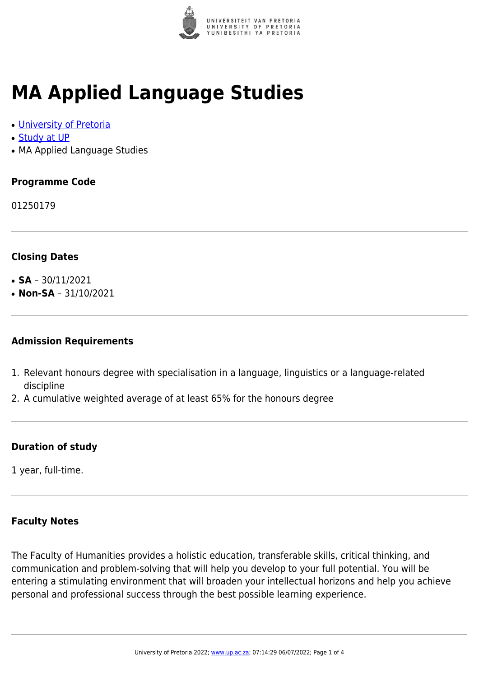

# **MA Applied Language Studies**

- [University of Pretoria](https://www.up.ac.za/home)
- [Study at UP](https://www.up.ac.za/programmes)
- MA Applied Language Studies

## **Programme Code**

01250179

### **Closing Dates**

- **SA**  $30/11/2021$
- $\cdot$  **Non-SA** 31/10/2021

#### **Admission Requirements**

- 1. Relevant honours degree with specialisation in a language, linguistics or a language-related discipline
- 2. A cumulative weighted average of at least 65% for the honours degree

### **Duration of study**

1 year, full-time.

### **Faculty Notes**

The Faculty of Humanities provides a holistic education, transferable skills, critical thinking, and communication and problem-solving that will help you develop to your full potential. You will be entering a stimulating environment that will broaden your intellectual horizons and help you achieve personal and professional success through the best possible learning experience.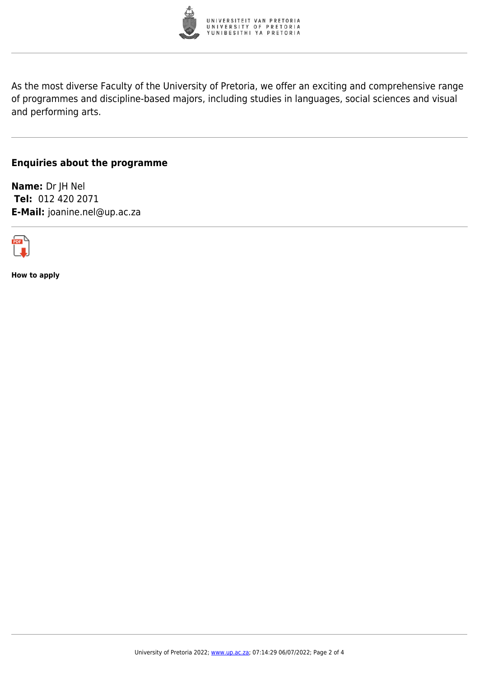

As the most diverse Faculty of the University of Pretoria, we offer an exciting and comprehensive range of programmes and discipline-based majors, including studies in languages, social sciences and visual and performing arts.

#### **Enquiries about the programme**

**Name:** Dr JH Nel **Tel:** 012 420 2071 **E-Mail:** joanine.nel@up.ac.za



**How to apply**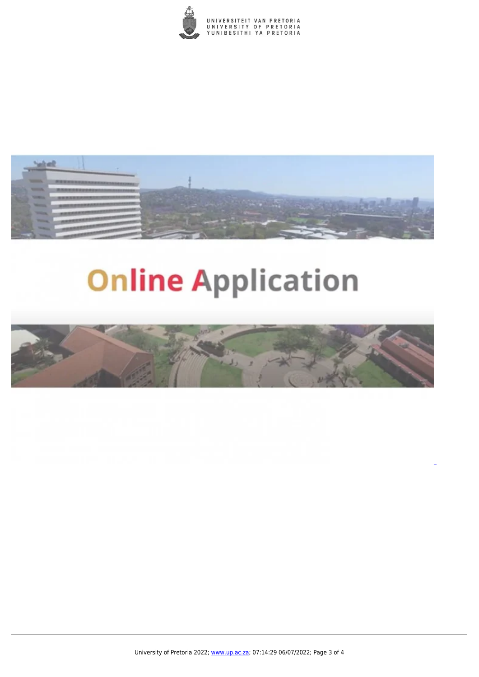



# **Online Application**